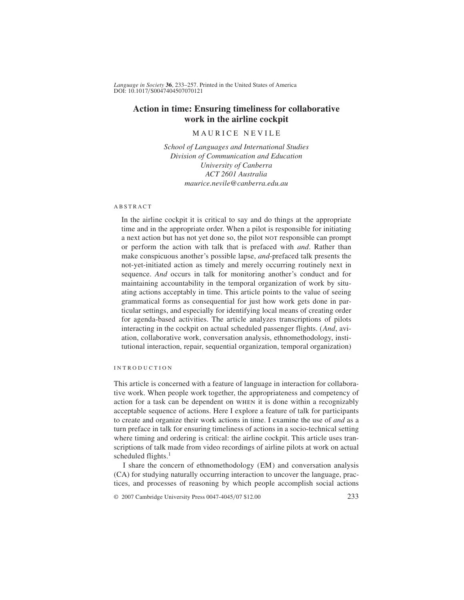# **Action in time: Ensuring timeliness for collaborative work in the airline cockpit**

# MAURICE NEVILE

*School of Languages and International Studies Division of Communication and Education University of Canberra ACT 2601 Australia maurice.nevile@canberra.edu.au*

ABSTRACT

In the airline cockpit it is critical to say and do things at the appropriate time and in the appropriate order. When a pilot is responsible for initiating a next action but has not yet done so, the pilot NOT responsible can prompt or perform the action with talk that is prefaced with *and*. Rather than make conspicuous another's possible lapse, *and*-prefaced talk presents the not-yet-initiated action as timely and merely occurring routinely next in sequence. *And* occurs in talk for monitoring another's conduct and for maintaining accountability in the temporal organization of work by situating actions acceptably in time. This article points to the value of seeing grammatical forms as consequential for just how work gets done in particular settings, and especially for identifying local means of creating order for agenda-based activities. The article analyzes transcriptions of pilots interacting in the cockpit on actual scheduled passenger flights. (*And*, aviation, collaborative work, conversation analysis, ethnomethodology, institutional interaction, repair, sequential organization, temporal organization)

INTRODUCTION

This article is concerned with a feature of language in interaction for collaborative work. When people work together, the appropriateness and competency of action for a task can be dependent on when it is done within a recognizably acceptable sequence of actions. Here I explore a feature of talk for participants to create and organize their work actions in time. I examine the use of *and* as a turn preface in talk for ensuring timeliness of actions in a socio-technical setting where timing and ordering is critical: the airline cockpit. This article uses transcriptions of talk made from video recordings of airline pilots at work on actual scheduled flights.<sup>1</sup>

I share the concern of ethnomethodology (EM) and conversation analysis (CA) for studying naturally occurring interaction to uncover the language, practices, and processes of reasoning by which people accomplish social actions

© 2007 Cambridge University Press 0047-4045007 \$12.00 233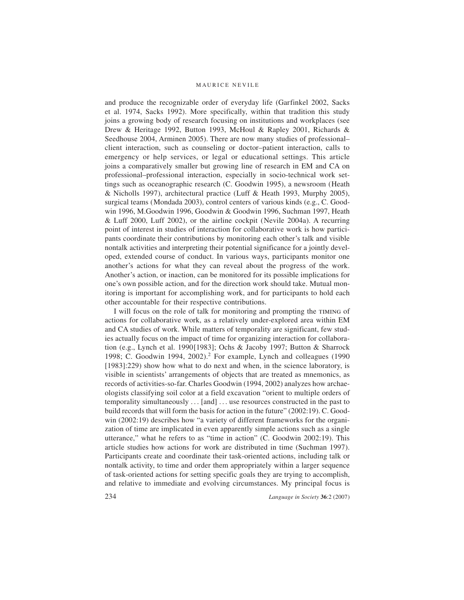and produce the recognizable order of everyday life (Garfinkel 2002, Sacks et al. 1974, Sacks 1992). More specifically, within that tradition this study joins a growing body of research focusing on institutions and workplaces (see Drew & Heritage 1992, Button 1993, McHoul & Rapley 2001, Richards & Seedhouse 2004, Arminen 2005). There are now many studies of professional– client interaction, such as counseling or doctor–patient interaction, calls to emergency or help services, or legal or educational settings. This article joins a comparatively smaller but growing line of research in EM and CA on professional–professional interaction, especially in socio-technical work settings such as oceanographic research (C. Goodwin 1995), a newsroom (Heath & Nicholls 1997), architectural practice (Luff & Heath 1993, Murphy 2005), surgical teams (Mondada 2003), control centers of various kinds (e.g., C. Goodwin 1996, M.Goodwin 1996, Goodwin & Goodwin 1996, Suchman 1997, Heath & Luff 2000, Luff 2002), or the airline cockpit (Nevile 2004a). A recurring point of interest in studies of interaction for collaborative work is how participants coordinate their contributions by monitoring each other's talk and visible nontalk activities and interpreting their potential significance for a jointly developed, extended course of conduct. In various ways, participants monitor one another's actions for what they can reveal about the progress of the work. Another's action, or inaction, can be monitored for its possible implications for one's own possible action, and for the direction work should take. Mutual monitoring is important for accomplishing work, and for participants to hold each other accountable for their respective contributions.

I will focus on the role of talk for monitoring and prompting the timing of actions for collaborative work, as a relatively under-explored area within EM and CA studies of work. While matters of temporality are significant, few studies actually focus on the impact of time for organizing interaction for collaboration (e.g., Lynch et al. 1990[1983]; Ochs & Jacoby 1997; Button & Sharrock 1998; C. Goodwin 1994, 2002).<sup>2</sup> For example, Lynch and colleagues (1990 [1983]:229) show how what to do next and when, in the science laboratory, is visible in scientists' arrangements of objects that are treated as mnemonics, as records of activities-so-far. Charles Goodwin (1994, 2002) analyzes how archaeologists classifying soil color at a field excavation "orient to multiple orders of temporality simultaneously ... [and] ... use resources constructed in the past to build records that will form the basis for action in the future" (2002:19). C. Goodwin (2002:19) describes how "a variety of different frameworks for the organization of time are implicated in even apparently simple actions such as a single utterance," what he refers to as "time in action" (C. Goodwin 2002:19). This article studies how actions for work are distributed in time (Suchman 1997). Participants create and coordinate their task-oriented actions, including talk or nontalk activity, to time and order them appropriately within a larger sequence of task-oriented actions for setting specific goals they are trying to accomplish, and relative to immediate and evolving circumstances. My principal focus is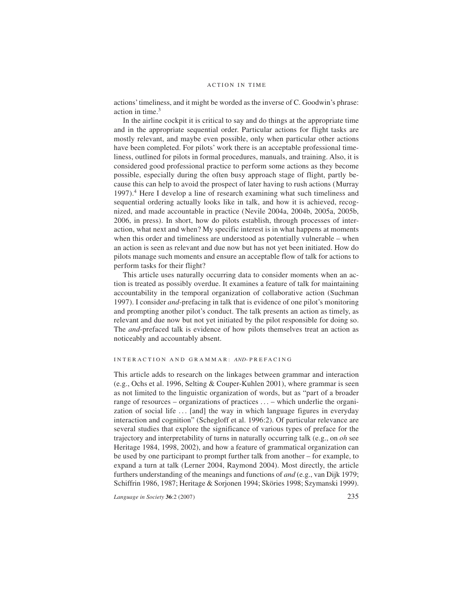actions'timeliness, and it might be worded as the inverse of C. Goodwin's phrase: action in time.3

In the airline cockpit it is critical to say and do things at the appropriate time and in the appropriate sequential order. Particular actions for flight tasks are mostly relevant, and maybe even possible, only when particular other actions have been completed. For pilots' work there is an acceptable professional timeliness, outlined for pilots in formal procedures, manuals, and training. Also, it is considered good professional practice to perform some actions as they become possible, especially during the often busy approach stage of flight, partly because this can help to avoid the prospect of later having to rush actions (Murray 1997).<sup>4</sup> Here I develop a line of research examining what such timeliness and sequential ordering actually looks like in talk, and how it is achieved, recognized, and made accountable in practice (Nevile 2004a, 2004b, 2005a, 2005b, 2006, in press). In short, how do pilots establish, through processes of interaction, what next and when? My specific interest is in what happens at moments when this order and timeliness are understood as potentially vulnerable – when an action is seen as relevant and due now but has not yet been initiated. How do pilots manage such moments and ensure an acceptable flow of talk for actions to perform tasks for their flight?

This article uses naturally occurring data to consider moments when an action is treated as possibly overdue. It examines a feature of talk for maintaining accountability in the temporal organization of collaborative action (Suchman 1997). I consider *and*-prefacing in talk that is evidence of one pilot's monitoring and prompting another pilot's conduct. The talk presents an action as timely, as relevant and due now but not yet initiated by the pilot responsible for doing so. The *and*-prefaced talk is evidence of how pilots themselves treat an action as noticeably and accountably absent.

#### INTERACTION AND GRAMMAR: *AND*-PREFACING

This article adds to research on the linkages between grammar and interaction (e.g., Ochs et al. 1996, Selting & Couper-Kuhlen 2001), where grammar is seen as not limited to the linguistic organization of words, but as "part of a broader range of resources – organizations of practices . . . – which underlie the organization of social life ... [and] the way in which language figures in everyday interaction and cognition" (Schegloff et al. 1996:2). Of particular relevance are several studies that explore the significance of various types of preface for the trajectory and interpretability of turns in naturally occurring talk (e.g., on *oh* see Heritage 1984, 1998, 2002), and how a feature of grammatical organization can be used by one participant to prompt further talk from another – for example, to expand a turn at talk (Lerner 2004, Raymond 2004). Most directly, the article furthers understanding of the meanings and functions of *and* (e.g., van Dijk 1979; Schiffrin 1986, 1987; Heritage & Sorjonen 1994; Sköries 1998; Szymanski 1999).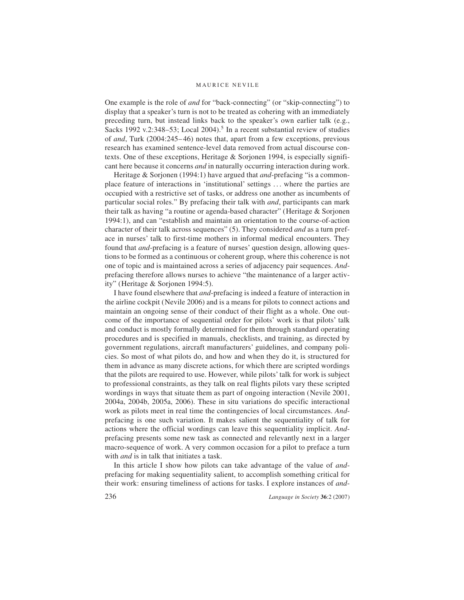One example is the role of *and* for "back-connecting" (or "skip-connecting") to display that a speaker's turn is not to be treated as cohering with an immediately preceding turn, but instead links back to the speaker's own earlier talk (e.g., Sacks 1992 v.2:348–53; Local 2004).<sup>5</sup> In a recent substantial review of studies of *and*, Turk (2004:245– 46) notes that, apart from a few exceptions, previous research has examined sentence-level data removed from actual discourse contexts. One of these exceptions, Heritage & Sorjonen 1994, is especially significant here because it concerns *and* in naturally occurring interaction during work.

Heritage & Sorjonen (1994:1) have argued that *and*-prefacing "is a commonplace feature of interactions in 'institutional' settings . . . where the parties are occupied with a restrictive set of tasks, or address one another as incumbents of particular social roles." By prefacing their talk with *and*, participants can mark their talk as having "a routine or agenda-based character" (Heritage & Sorjonen 1994:1), and can "establish and maintain an orientation to the course-of-action character of their talk across sequences" (5). They considered *and* as a turn preface in nurses' talk to first-time mothers in informal medical encounters. They found that *and*-prefacing is a feature of nurses' question design, allowing questions to be formed as a continuous or coherent group, where this coherence is not one of topic and is maintained across a series of adjacency pair sequences. *And*prefacing therefore allows nurses to achieve "the maintenance of a larger activity" (Heritage & Sorjonen 1994:5).

I have found elsewhere that *and*-prefacing is indeed a feature of interaction in the airline cockpit (Nevile 2006) and is a means for pilots to connect actions and maintain an ongoing sense of their conduct of their flight as a whole. One outcome of the importance of sequential order for pilots' work is that pilots' talk and conduct is mostly formally determined for them through standard operating procedures and is specified in manuals, checklists, and training, as directed by government regulations, aircraft manufacturers' guidelines, and company policies. So most of what pilots do, and how and when they do it, is structured for them in advance as many discrete actions, for which there are scripted wordings that the pilots are required to use. However, while pilots' talk for work is subject to professional constraints, as they talk on real flights pilots vary these scripted wordings in ways that situate them as part of ongoing interaction (Nevile 2001, 2004a, 2004b, 2005a, 2006). These in situ variations do specific interactional work as pilots meet in real time the contingencies of local circumstances. *And*prefacing is one such variation. It makes salient the sequentiality of talk for actions where the official wordings can leave this sequentiality implicit. *And*prefacing presents some new task as connected and relevantly next in a larger macro-sequence of work. A very common occasion for a pilot to preface a turn with *and* is in talk that initiates a task.

In this article I show how pilots can take advantage of the value of *and*prefacing for making sequentiality salient, to accomplish something critical for their work: ensuring timeliness of actions for tasks. I explore instances of *and*-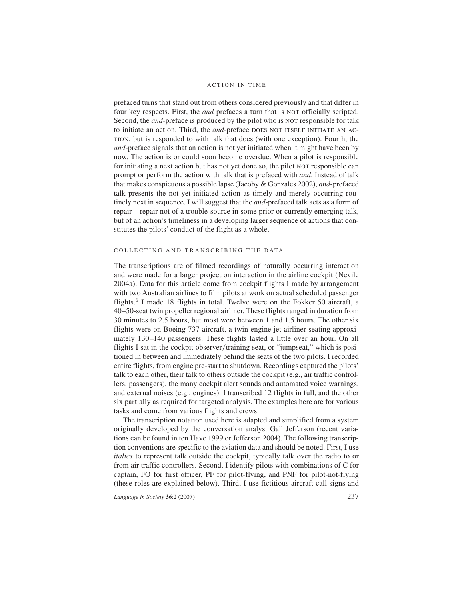prefaced turns that stand out from others considered previously and that differ in four key respects. First, the *and* prefaces a turn that is nor officially scripted. Second, the *and*-preface is produced by the pilot who is NOT responsible for talk to initiate an action. Third, the *and*-preface DOES NOT ITSELF INITIATE AN ACtion, but is responded to with talk that does (with one exception). Fourth, the *and*-preface signals that an action is not yet initiated when it might have been by now. The action is or could soon become overdue. When a pilot is responsible for initiating a next action but has not yet done so, the pilot NOT responsible can prompt or perform the action with talk that is prefaced with *and*. Instead of talk that makes conspicuous a possible lapse (Jacoby & Gonzales 2002), *and*-prefaced talk presents the not-yet-initiated action as timely and merely occurring routinely next in sequence. I will suggest that the *and*-prefaced talk acts as a form of repair – repair not of a trouble-source in some prior or currently emerging talk, but of an action's timeliness in a developing larger sequence of actions that constitutes the pilots' conduct of the flight as a whole.

## COLLECTING AND TRANSCRIBING THE DATA

The transcriptions are of filmed recordings of naturally occurring interaction and were made for a larger project on interaction in the airline cockpit (Nevile 2004a). Data for this article come from cockpit flights I made by arrangement with two Australian airlines to film pilots at work on actual scheduled passenger flights.<sup>6</sup> I made 18 flights in total. Twelve were on the Fokker 50 aircraft, a 40–50-seat twin propeller regional airliner. These flights ranged in duration from 30 minutes to 2.5 hours, but most were between 1 and 1.5 hours. The other six flights were on Boeing 737 aircraft, a twin-engine jet airliner seating approximately 130–140 passengers. These flights lasted a little over an hour. On all flights I sat in the cockpit observer/training seat, or "jumpseat," which is positioned in between and immediately behind the seats of the two pilots. I recorded entire flights, from engine pre-start to shutdown. Recordings captured the pilots' talk to each other, their talk to others outside the cockpit (e.g., air traffic controllers, passengers), the many cockpit alert sounds and automated voice warnings, and external noises (e.g., engines). I transcribed 12 flights in full, and the other six partially as required for targeted analysis. The examples here are for various tasks and come from various flights and crews.

The transcription notation used here is adapted and simplified from a system originally developed by the conversation analyst Gail Jefferson (recent variations can be found in ten Have 1999 or Jefferson 2004). The following transcription conventions are specific to the aviation data and should be noted. First, I use *italics* to represent talk outside the cockpit, typically talk over the radio to or from air traffic controllers. Second, I identify pilots with combinations of C for captain, FO for first officer, PF for pilot-flying, and PNF for pilot-not-flying (these roles are explained below). Third, I use fictitious aircraft call signs and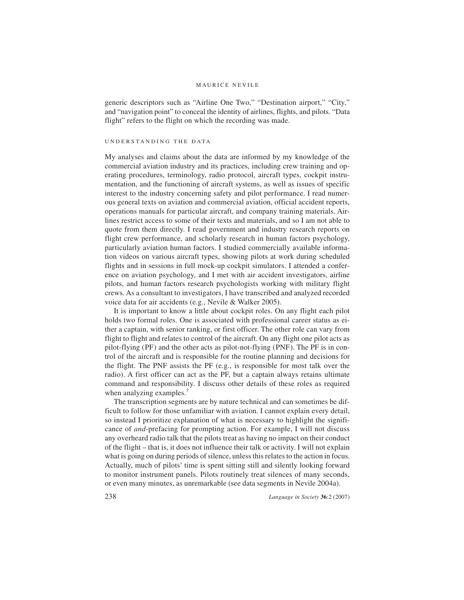generic descriptors such as "Airline One Two," "Destination airport," "City," and "navigation point" to conceal the identity of airlines, flights, and pilots. "Data flight" refers to the flight on which the recording was made.

## UNDERSTAND ING THE DATA

My analyses and claims about the data are informed by my knowledge of the commercial aviation industry and its practices, including crew training and operating procedures, terminology, radio protocol, aircraft types, cockpit instrumentation, and the functioning of aircraft systems, as well as issues of specific interest to the industry concerning safety and pilot performance. I read numerous general texts on aviation and commercial aviation, official accident reports, operations manuals for particular aircraft, and company training materials. Airlines restrict access to some of their texts and materials, and so I am not able to quote from them directly. I read government and industry research reports on flight crew performance, and scholarly research in human factors psychology, particularly aviation human factors. I studied commercially available information videos on various aircraft types, showing pilots at work during scheduled flights and in sessions in full mock-up cockpit simulators. I attended a conference on aviation psychology, and I met with air accident investigators, airline pilots, and human factors research psychologists working with military flight crews. As a consultant to investigators, I have transcribed and analyzed recorded voice data for air accidents (e.g., Nevile & Walker 2005).

It is important to know a little about cockpit roles. On any flight each pilot holds two formal roles. One is associated with professional career status as either a captain, with senior ranking, or first officer. The other role can vary from flight to flight and relates to control of the aircraft. On any flight one pilot acts as pilot-flying (PF) and the other acts as pilot-not-flying (PNF). The PF is in control of the aircraft and is responsible for the routine planning and decisions for the flight. The PNF assists the PF (e.g., is responsible for most talk over the radio). A first officer can act as the PF, but a captain always retains ultimate command and responsibility. I discuss other details of these roles as required when analyzing examples.<sup>7</sup>

The transcription segments are by nature technical and can sometimes be difficult to follow for those unfamiliar with aviation. I cannot explain every detail, so instead I prioritize explanation of what is necessary to highlight the significance of *and*-prefacing for prompting action. For example, I will not discuss any overheard radio talk that the pilots treat as having no impact on their conduct of the flight – that is, it does not influence their talk or activity. I will not explain what is going on during periods of silence, unless this relates to the action in focus. Actually, much of pilots' time is spent sitting still and silently looking forward to monitor instrument panels. Pilots routinely treat silences of many seconds, or even many minutes, as unremarkable (see data segments in Nevile 2004a).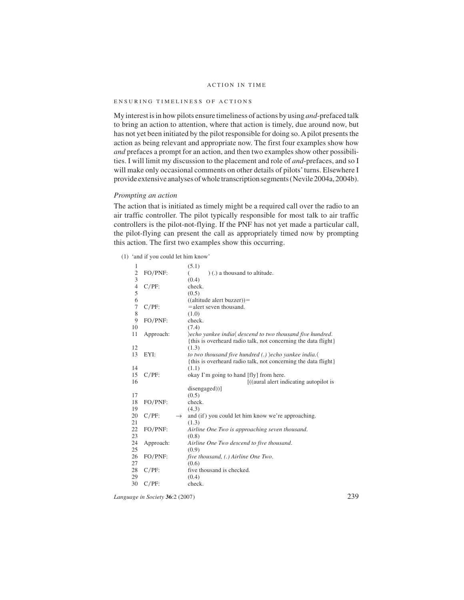# ENSURING TIMELINESS OF ACTIONS

My interest is in how pilots ensure timeliness of actions by using *and*-prefaced talk to bring an action to attention, where that action is timely, due around now, but has not yet been initiated by the pilot responsible for doing so. A pilot presents the action as being relevant and appropriate now. The first four examples show how *and* prefaces a prompt for an action, and then two examples show other possibilities. I will limit my discussion to the placement and role of *and*-prefaces, and so I will make only occasional comments on other details of pilots'turns. Elsewhere I provide extensive analyses of wholetranscription segments (Nevile 2004a, 2004b).

# *Prompting an action*

The action that is initiated as timely might be a required call over the radio to an air traffic controller. The pilot typically responsible for most talk to air traffic controllers is the pilot-not-flying. If the PNF has not yet made a particular call, the pilot-flying can present the call as appropriately timed now by prompting this action. The first two examples show this occurring.

(1) 'and if you could let him know'

| 1              |           |               | (5.1)                                                          |
|----------------|-----------|---------------|----------------------------------------------------------------|
| $\overline{c}$ | FO/PNF:   |               | (a) (a) a thousand to altitude.                                |
| 3              |           |               | (0.4)                                                          |
| $\overline{4}$ | $C/PF$ :  |               | check.                                                         |
| 5              |           |               | (0.5)                                                          |
| 6              |           |               | $((\text{altitude alert buzzer})) =$                           |
| $\tau$         | $C/PF$ :  |               | =alert seven thousand.                                         |
| 8              |           |               | (1.0)                                                          |
| 9              | FO/PNF:   |               | check.                                                         |
| 10             |           |               | (7.4)                                                          |
| 11             | Approach: |               | echo yankee india descend to two thousand five hundred.        |
|                |           |               | {this is overheard radio talk, not concerning the data flight} |
| 12             |           |               | (1.3)                                                          |
| 13             | EYI:      |               | to two thousand five hundred (.) \echo yankee india.           |
|                |           |               | {this is overheard radio talk, not concerning the data flight} |
| 14             |           |               | (1.1)                                                          |
| 15             | $C/PF$ :  |               | okay I'm going to hand [fly] from here.                        |
| 16             |           |               | [((aural alert indicating autopilot is                         |
|                |           |               | disengaged))]                                                  |
| 17             |           |               | (0.5)                                                          |
| 18             | FO/PNF:   |               | check.                                                         |
| 19             |           |               | (4.3)                                                          |
| 20             | $C/PF$ :  | $\rightarrow$ | and (if) you could let him know we're approaching.             |
| 21             |           |               | (1.3)                                                          |
| 22             | FO/PNF:   |               | Airline One Two is approaching seven thousand.                 |
| 23             |           |               | (0.8)                                                          |
| 24             | Approach: |               | Airline One Two descend to five thousand.                      |
| 25             |           |               | (0.9)                                                          |
| 26             | FO/PNF:   |               | five thousand, (.) Airline One Two.                            |
| 27             |           |               | (0.6)                                                          |
| 28             | $C/PF$ :  |               | five thousand is checked.                                      |
| 29             |           |               | (0.4)                                                          |
| 30             | $C/PF$ :  |               | check.                                                         |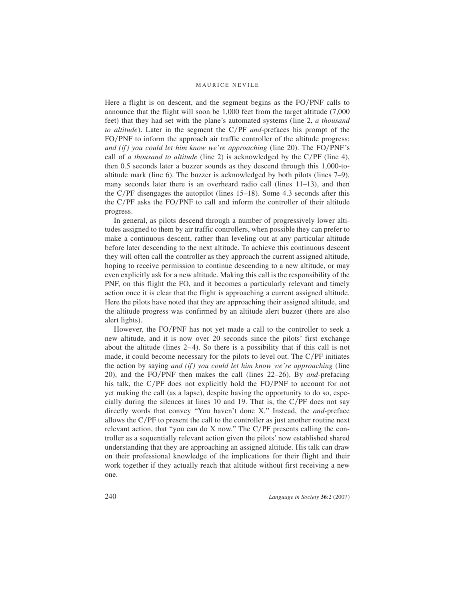Here a flight is on descent, and the segment begins as the  $FO/PNF$  calls to announce that the flight will soon be 1,000 feet from the target altitude (7,000 feet) that they had set with the plane's automated systems (line 2, *a thousand to altitude*). Later in the segment the C/PF *and*-prefaces his prompt of the FO/PNF to inform the approach air traffic controller of the altitude progress: *and (if) you could let him know we're approaching (line 20). The FO/PNF's* call of *a thousand to altitude* (line 2) is acknowledged by the C/PF (line 4), then 0.5 seconds later a buzzer sounds as they descend through this 1,000-toaltitude mark (line 6). The buzzer is acknowledged by both pilots (lines 7–9), many seconds later there is an overheard radio call (lines 11–13), and then the  $C/PF$  disengages the autopilot (lines 15–18). Some 4.3 seconds after this the C/PF asks the FO/PNF to call and inform the controller of their altitude progress.

In general, as pilots descend through a number of progressively lower altitudes assigned to them by air traffic controllers, when possible they can prefer to make a continuous descent, rather than leveling out at any particular altitude before later descending to the next altitude. To achieve this continuous descent they will often call the controller as they approach the current assigned altitude, hoping to receive permission to continue descending to a new altitude, or may even explicitly ask for a new altitude. Making this call is the responsibility of the PNF, on this flight the FO, and it becomes a particularly relevant and timely action once it is clear that the flight is approaching a current assigned altitude. Here the pilots have noted that they are approaching their assigned altitude, and the altitude progress was confirmed by an altitude alert buzzer (there are also alert lights).

However, the FO/PNF has not yet made a call to the controller to seek a new altitude, and it is now over 20 seconds since the pilots' first exchange about the altitude (lines  $2-4$ ). So there is a possibility that if this call is not made, it could become necessary for the pilots to level out. The  $C/PF$  initiates the action by saying *and (if ) you could let him know we're approaching* (line 20), and the FO/PNF then makes the call (lines 22–26). By *and*-prefacing his talk, the C/PF does not explicitly hold the FO/PNF to account for not yet making the call (as a lapse), despite having the opportunity to do so, especially during the silences at lines 10 and 19. That is, the  $C/PF$  does not say directly words that convey "You haven't done X." Instead, the *and*-preface allows the  $C/PF$  to present the call to the controller as just another routine next relevant action, that "you can do X now." The  $C/PF$  presents calling the controller as a sequentially relevant action given the pilots' now established shared understanding that they are approaching an assigned altitude. His talk can draw on their professional knowledge of the implications for their flight and their work together if they actually reach that altitude without first receiving a new one.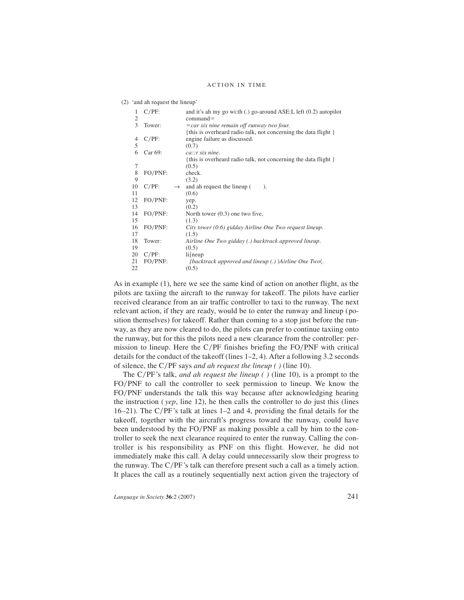(2) 'and ah request the lineup'

| 1  | $C/PF$ :   |               | and it's ah my go wi:th (.) go-around ASE:L left (0.2) autopilot        |
|----|------------|---------------|-------------------------------------------------------------------------|
| 2  |            |               | $command=$                                                              |
| 3  | Tower:     |               | $=$ car six nine remain off runway two four.                            |
|    |            |               | {this is overheard radio talk, not concerning the data flight }         |
| 4  | $C/PF$ :   |               | engine failure as discussed.                                            |
| 5  |            |               | (0.7)                                                                   |
| 6  | Car 69:    |               | $ca::r$ six nine.                                                       |
|    |            |               | {this is overheard radio talk, not concerning the data flight }         |
| 7  |            |               | (0.5)                                                                   |
| 8  | FO/PNF:    |               | check.                                                                  |
| 9  |            |               | (3.2)                                                                   |
| 10 | $C/PF$ :   | $\rightarrow$ | and ah request the lineup (<br>$\mathcal{L}$                            |
| 11 |            |               | (0.6)                                                                   |
| 12 | FO/PNF:    |               | yep.                                                                    |
| 13 |            |               | (0.2)                                                                   |
| 14 | $FO/PNF$ : |               | North tower $(0.3)$ one two five,                                       |
| 15 |            |               | (1.3)                                                                   |
| 16 | FO/PNF:    |               | City tower (0.6) gidday Airline One Two request lineup.                 |
| 17 |            |               | (1.5)                                                                   |
| 18 | Tower:     |               | Airline One Two gidday (.) backtrack approved lineup.                   |
| 19 |            |               | (0.5)                                                                   |
| 20 | $C/PF$ :   |               | li[neup]                                                                |
| 21 | FO/PNF:    |               | [backtrack approved and lineup (.) $\lambda$ irline One Two $\langle$ . |
| 22 |            |               | (0.5)                                                                   |

As in example (1), here we see the same kind of action on another flight, as the pilots are taxiing the aircraft to the runway for takeoff. The pilots have earlier received clearance from an air traffic controller to taxi to the runway. The next relevant action, if they are ready, would be to enter the runway and lineup (position themselves) for takeoff. Rather than coming to a stop just before the runway, as they are now cleared to do, the pilots can prefer to continue taxiing onto the runway, but for this the pilots need a new clearance from the controller: permission to lineup. Here the  $C/PF$  finishes briefing the FO/PNF with critical details for the conduct of the takeoff (lines 1–2, 4). After a following 3.2 seconds of silence, the C/PF says *and ah request the lineup* () (line 10).

The C/PF's talk, *and ah request the lineup* ( ) (line 10), is a prompt to the FO/PNF to call the controller to seek permission to lineup. We know the FO/PNF understands the talk this way because after acknowledging hearing the instruction ( *yep*, line 12), he then calls the controller to do just this (lines 16–21). The C/PF's talk at lines  $1-2$  and 4, providing the final details for the takeoff, together with the aircraft's progress toward the runway, could have been understood by the FO/PNF as making possible a call by him to the controller to seek the next clearance required to enter the runway. Calling the controller is his responsibility as PNF on this flight. However, he did not immediately make this call. A delay could unnecessarily slow their progress to the runway. The  $C/PF$ 's talk can therefore present such a call as a timely action. It places the call as a routinely sequentially next action given the trajectory of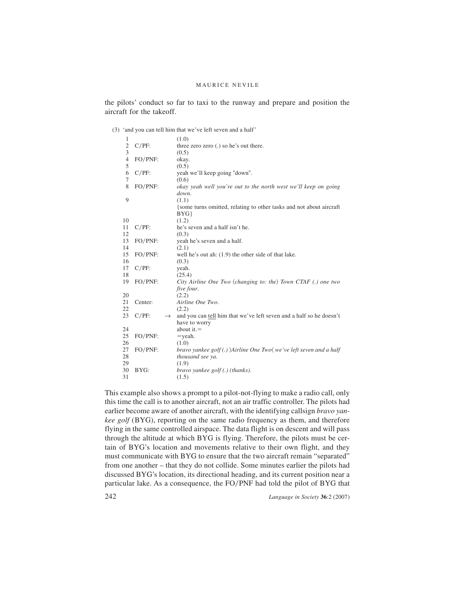the pilots' conduct so far to taxi to the runway and prepare and position the aircraft for the takeoff.

| $\mathbf{1}$   |          |               | (1.0)                                                                           |
|----------------|----------|---------------|---------------------------------------------------------------------------------|
| $\overline{c}$ | $C/PF$ : |               | three zero zero (.) so he's out there.                                          |
| 3              |          |               | (0.5)                                                                           |
| $\overline{4}$ | FO/PNF:  |               | okay.                                                                           |
| 5              |          |               | (0.5)                                                                           |
| 6              | C/PF:    |               | yeah we'll keep going °down°.                                                   |
| 7              |          |               | (0.6)                                                                           |
| 8              | FO/PNF:  |               | okay yeah well you're out to the north west we'll keep on going                 |
|                |          |               | down.                                                                           |
| 9              |          |               | (1.1)                                                                           |
|                |          |               | {some turns omitted, relating to other tasks and not about aircraft             |
|                |          |               | BYG                                                                             |
| 10             |          |               | (1.2)                                                                           |
| 11             | $C/PF$ : |               | he's seven and a half isn't he.                                                 |
| 12             |          |               | (0.3)                                                                           |
| 13             | FO/PNF:  |               | yeah he's seven and a half.                                                     |
| 14             |          |               | (2.1)                                                                           |
| 15             | FO/PNF:  |               | well he's out ah: (1.9) the other side of that lake.                            |
| 16             |          |               | (0.3)                                                                           |
| 17             | $C/PF$ : |               | yeah.                                                                           |
| 18             |          |               | (25.4)                                                                          |
| 19             | FO/PNF:  |               | City Airline One Two $\langle$ changing to: the $\rangle$ Town CTAF (.) one two |
|                |          |               | five four.                                                                      |
| 20             |          |               | (2.2)                                                                           |
| 21             | Center:  |               | Airline One Two.                                                                |
| 22             |          |               | (2.2)                                                                           |
| 23             | $C/PF$ : | $\rightarrow$ | and you can tell him that we've left seven and a half so he doesn't             |
|                |          |               | have to worry                                                                   |
| 24             |          |               | about it. $=$                                                                   |
| 25             | FO/PNF:  |               | $=$ yeah.                                                                       |
| 26             |          |               | (1.0)                                                                           |
| 27             | FO/PNF:  |               | bravo yankee golf (.) \Airline One Two $\langle$ we've left seven and a half    |
| 28             |          |               | thousand see ya.                                                                |
| 29             |          |               | (1.9)                                                                           |
| 30             | BYG:     |               | bravo yankee golf $(.)$ (thanks).                                               |
| 31             |          |               | (1.5)                                                                           |

(3) 'and you can tell him that we've left seven and a half '

This example also shows a prompt to a pilot-not-flying to make a radio call, only this time the call is to another aircraft, not an air traffic controller. The pilots had earlier become aware of another aircraft, with the identifying callsign *bravo yankee golf* (BYG), reporting on the same radio frequency as them, and therefore flying in the same controlled airspace. The data flight is on descent and will pass through the altitude at which BYG is flying. Therefore, the pilots must be certain of BYG's location and movements relative to their own flight, and they must communicate with BYG to ensure that the two aircraft remain "separated" from one another – that they do not collide. Some minutes earlier the pilots had discussed BYG's location, its directional heading, and its current position near a particular lake. As a consequence, the FO/PNF had told the pilot of BYG that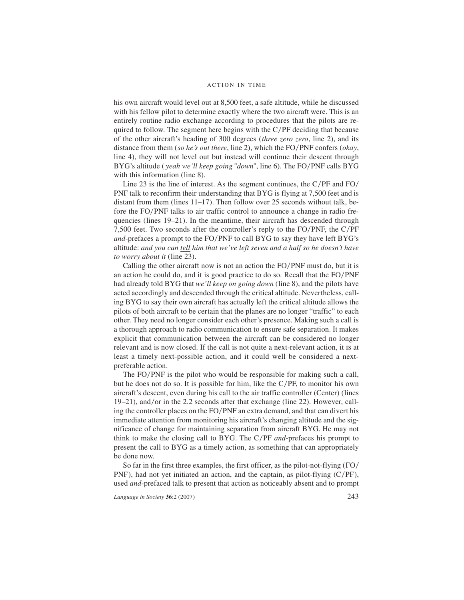his own aircraft would level out at 8,500 feet, a safe altitude, while he discussed with his fellow pilot to determine exactly where the two aircraft were. This is an entirely routine radio exchange according to procedures that the pilots are required to follow. The segment here begins with the  $C/PF$  deciding that because of the other aircraft's heading of 300 degrees (*three zero zero*, line 2), and its distance from them (*so he's out there*, line 2), which the FO/PNF confers (*okay*, line 4), they will not level out but instead will continue their descent through BYG's altitude (*yeah we'll keep going* °down°, line 6). The FO/PNF calls BYG with this information (line 8).

Line 23 is the line of interest. As the segment continues, the  $C/PF$  and  $FO/$ PNF talk to reconfirm their understanding that BYG is flying at 7,500 feet and is distant from them (lines 11–17). Then follow over 25 seconds without talk, before the FO/PNF talks to air traffic control to announce a change in radio frequencies (lines 19–21). In the meantime, their aircraft has descended through 7,500 feet. Two seconds after the controller's reply to the  $FO/PNF$ , the  $C/PF$ *and*-prefaces a prompt to the FO/PNF to call BYG to say they have left BYG's altitude: *and you can tell him that we've left seven and a half so he doesn't have to worry about it* (line 23).

Calling the other aircraft now is not an action the  $FO/PNF$  must do, but it is an action he could do, and it is good practice to do so. Recall that the  $FO/PNF$ had already told BYG that *we'll keep on going down* (line 8), and the pilots have acted accordingly and descended through the critical altitude. Nevertheless, calling BYG to say their own aircraft has actually left the critical altitude allows the pilots of both aircraft to be certain that the planes are no longer "traffic" to each other. They need no longer consider each other's presence. Making such a call is a thorough approach to radio communication to ensure safe separation. It makes explicit that communication between the aircraft can be considered no longer relevant and is now closed. If the call is not quite a next-relevant action, it is at least a timely next-possible action, and it could well be considered a nextpreferable action.

The FO/PNF is the pilot who would be responsible for making such a call, but he does not do so. It is possible for him, like the  $C/PF$ , to monitor his own aircraft's descent, even during his call to the air traffic controller (Center) (lines  $19-21$ ), and/or in the 2.2 seconds after that exchange (line 22). However, calling the controller places on the  $FO/PNF$  an extra demand, and that can divert his immediate attention from monitoring his aircraft's changing altitude and the significance of change for maintaining separation from aircraft BYG. He may not think to make the closing call to BYG. The C/PF *and*-prefaces his prompt to present the call to BYG as a timely action, as something that can appropriately be done now.

So far in the first three examples, the first officer, as the pilot-not-flying  $(FO)$ PNF), had not yet initiated an action, and the captain, as pilot-flying  $(C/PF)$ , used *and*-prefaced talk to present that action as noticeably absent and to prompt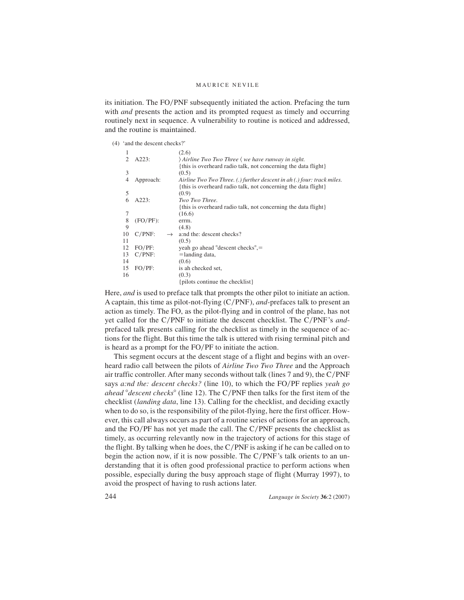its initiation. The FO/PNF subsequently initiated the action. Prefacing the turn with *and* presents the action and its prompted request as timely and occurring routinely next in sequence. A vulnerability to routine is noticed and addressed, and the routine is maintained.

(4) 'and the descent checks?'

| 1                           |             |               | (2.6)                                                                   |
|-----------------------------|-------------|---------------|-------------------------------------------------------------------------|
| $\mathcal{D}_{\mathcal{L}}$ | A223:       |               | Airline Two Two Three (we have runway in sight.)                        |
|                             |             |               | {this is overheard radio talk, not concerning the data flight}          |
| 3                           |             |               | (0.5)                                                                   |
| 4                           | Approach:   |               | Airline Two Two Three. (.) further descent in ah (.) four: track miles. |
|                             |             |               | {this is overheard radio talk, not concerning the data flight}          |
| 5                           |             |               | (0.9)                                                                   |
| 6                           | A223:       |               | Two Two Three.                                                          |
|                             |             |               | {this is overheard radio talk, not concerning the data flight}          |
| 7                           |             |               | (16.6)                                                                  |
| 8                           | $(FO/PF)$ : |               | errm.                                                                   |
| 9                           |             |               | (4.8)                                                                   |
| 10                          | $C/PNF$ :   | $\rightarrow$ | a:nd the: descent checks?                                               |
| 11                          |             |               | (0.5)                                                                   |
| 12                          | FO/PF:      |               | yeah go ahead ° descent checks°, =                                      |
| 13                          | $C/PNF$ :   |               | $=$ landing data,                                                       |
| 14                          |             |               | (0.6)                                                                   |
| 15                          | FO/PF:      |               | is ah checked set,                                                      |
| 16                          |             |               | (0.3)                                                                   |
|                             |             |               | {pilots continue the checklist}                                         |

Here, *and* is used to preface talk that prompts the other pilot to initiate an action. A captain, this time as pilot-not-flying (C/PNF), *and*-prefaces talk to present an action as timely. The FO, as the pilot-flying and in control of the plane, has not yet called for the C/PNF to initiate the descent checklist. The C/PNF's *and*prefaced talk presents calling for the checklist as timely in the sequence of actions for the flight. But this time the talk is uttered with rising terminal pitch and is heard as a prompt for the FO/PF to initiate the action.

This segment occurs at the descent stage of a flight and begins with an overheard radio call between the pilots of *Airline Two Two Three* and the Approach air traffic controller. After many seconds without talk (lines  $7$  and  $9$ ), the C/PNF says *a:nd the: descent checks?* (line 10), to which the FO/PF replies *yeah go ahead* <sup>*o*</sup> *descent checks<sup>°</sup>* (line 12). The C/PNF then talks for the first item of the checklist (*landing data*, line 13). Calling for the checklist, and deciding exactly when to do so, is the responsibility of the pilot-flying, here the first officer. However, this call always occurs as part of a routine series of actions for an approach, and the FO/PF has not yet made the call. The C/PNF presents the checklist as timely, as occurring relevantly now in the trajectory of actions for this stage of the flight. By talking when he does, the  $C/PNF$  is asking if he can be called on to begin the action now, if it is now possible. The  $C/PNF$ 's talk orients to an understanding that it is often good professional practice to perform actions when possible, especially during the busy approach stage of flight (Murray 1997), to avoid the prospect of having to rush actions later.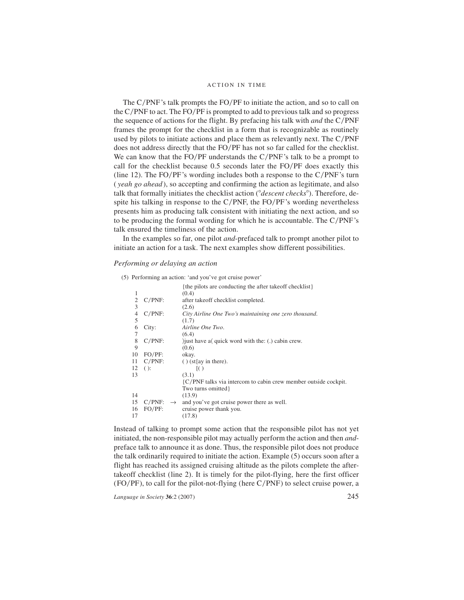The  $C/PNF$ 's talk prompts the  $FO/PF$  to initiate the action, and so to call on the  $C/PNF$  to act. The  $FO/PF$  is prompted to add to previous talk and so progress the sequence of actions for the flight. By prefacing his talk with *and* the C/PNF frames the prompt for the checklist in a form that is recognizable as routinely used by pilots to initiate actions and place them as relevantly next. The  $C/PNF$ does not address directly that the FO/PF has not so far called for the checklist. We can know that the FO/PF understands the C/PNF's talk to be a prompt to call for the checklist because 0.5 seconds later the FO/PF does exactly this (line 12). The FO/PF's wording includes both a response to the  $C/PNF$ 's turn ( *yeah go ahead*), so accepting and confirming the action as legitimate, and also talk that formally initiates the checklist action (*<sup>o</sup>descent checks*<sup>o</sup>). Therefore, despite his talking in response to the  $C/PNF$ , the FO/PF's wording nevertheless presents him as producing talk consistent with initiating the next action, and so to be producing the formal wording for which he is accountable. The  $C/PNF$ 's talk ensured the timeliness of the action.

In the examples so far, one pilot *and*-prefaced talk to prompt another pilot to initiate an action for a task. The next examples show different possibilities.

# *Performing or delaying an action*

(5) Performing an action: 'and you've got cruise power'

|    |           |               | {the pilots are conducting the after takeoff checklist}         |
|----|-----------|---------------|-----------------------------------------------------------------|
| 1  |           |               | (0.4)                                                           |
| 2  | $C/PNF$ : |               | after take off checklist completed.                             |
| 3  |           |               | (2.6)                                                           |
| 4  | $C/PNF$ : |               | City Airline One Two's maintaining one zero thousand.           |
| 5  |           |               | (1.7)                                                           |
| 6  | City:     |               | Airline One Two.                                                |
|    |           |               | (6.4)                                                           |
| 8  | $C/PNF$ : |               | ) just have a quick word with the: (.) cabin crew.              |
| 9  |           |               | (0.6)                                                           |
| 10 | $FO/PF$ : |               | okay.                                                           |
| 11 | $C/PNF$ : |               | $( )$ (st[ay in there).                                         |
| 12 | $( )$ :   |               | $\vert$ ( )                                                     |
| 13 |           |               | (3.1)                                                           |
|    |           |               | {C/PNF talks via intercom to cabin crew member outside cockpit. |
|    |           |               | Two turns omitted }                                             |
| 14 |           |               | (13.9)                                                          |
| 15 | $C/PNF$ : | $\rightarrow$ | and you've got cruise power there as well.                      |
| 16 | FO/PF:    |               | cruise power thank you.                                         |
| 17 |           |               | (17.8)                                                          |
|    |           |               |                                                                 |

Instead of talking to prompt some action that the responsible pilot has not yet initiated, the non-responsible pilot may actually perform the action and then *and*preface talk to announce it as done. Thus, the responsible pilot does not produce the talk ordinarily required to initiate the action. Example (5) occurs soon after a flight has reached its assigned cruising altitude as the pilots complete the aftertakeoff checklist (line 2). It is timely for the pilot-flying, here the first officer  $(FO/PF)$ , to call for the pilot-not-flying (here  $C/PNF$ ) to select cruise power, a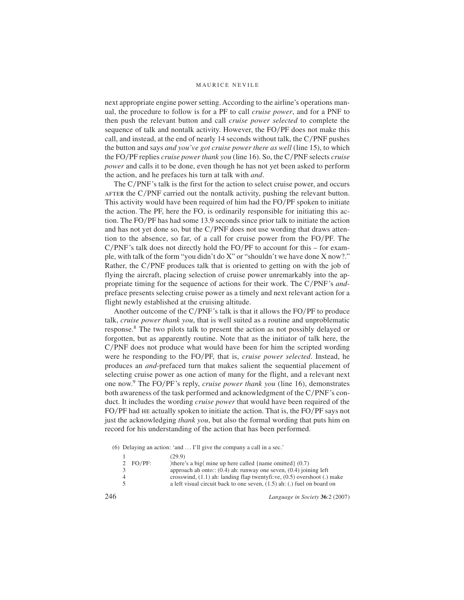#### MAURICE NEVILE

next appropriate engine power setting. According to the airline's operations manual, the procedure to follow is for a PF to call *cruise power*, and for a PNF to then push the relevant button and call *cruise power selected* to complete the sequence of talk and nontalk activity. However, the FO/PF does not make this call, and instead, at the end of nearly 14 seconds without talk, the  $C/PNF$  pushes the button and says *and you've got cruise power there as well* (line 15), to which the FO/PF replies *cruise power thank you* (line 16). So, the C/PNF selects *cruise power* and calls it to be done, even though he has not yet been asked to perform the action, and he prefaces his turn at talk with *and*.

The  $C/PNF$ 's talk is the first for the action to select cruise power, and occurs AFTER the  $C/PNF$  carried out the nontalk activity, pushing the relevant button. This activity would have been required of him had the FO/PF spoken to initiate the action. The PF, here the FO, is ordinarily responsible for initiating this action. The FO/PF has had some 13.9 seconds since prior talk to initiate the action and has not yet done so, but the  $C/PNF$  does not use wording that draws attention to the absence, so far, of a call for cruise power from the FO/PF. The  $C/PNF$ 's talk does not directly hold the FO/PF to account for this – for example, with talk of the form "you didn't do X" or "shouldn't we have done X now?." Rather, the C/PNF produces talk that is oriented to getting on with the job of flying the aircraft, placing selection of cruise power unremarkably into the appropriate timing for the sequence of actions for their work. The C/PNF's *and*preface presents selecting cruise power as a timely and next relevant action for a flight newly established at the cruising altitude.

Another outcome of the  $C/PNF$ 's talk is that it allows the  $FO/PF$  to produce talk, *cruise power thank you*, that is well suited as a routine and unproblematic response.8 The two pilots talk to present the action as not possibly delayed or forgotten, but as apparently routine. Note that as the initiator of talk here, the  $C/PNF$  does not produce what would have been for him the scripted wording were he responding to the FO/PF, that is, *cruise power selected*. Instead, he produces an *and*-prefaced turn that makes salient the sequential placement of selecting cruise power as one action of many for the flight, and a relevant next one now.<sup>9</sup> The FO/PF's reply, *cruise power thank you* (line 16), demonstrates both awareness of the task performed and acknowledgment of the  $C/PNF$ 's conduct. It includes the wording *cruise power* that would have been required of the FO/PF had HE actually spoken to initiate the action. That is, the FO/PF says not just the acknowledging *thank you*, but also the formal wording that puts him on record for his understanding of the action that has been performed.

(6) Delaying an action: 'and ... I'll give the company a call in a sec.'

|    |             | (29.9)                                                                      |
|----|-------------|-----------------------------------------------------------------------------|
|    | 2 $FO/PF$ : | $\theta$ (0.7) there's a big (mine up here called {name omitted} (0.7)      |
|    |             | approach ah onto:: $(0.4)$ ah: runway one seven, $(0.4)$ joining left       |
| 4  |             | crosswind, $(1.1)$ ah: landing flap twentyfi:ve, $(0.5)$ overshoot (.) make |
| 5. |             | a left visual circuit back to one seven, $(1.5)$ ah: (.) fuel on board on   |
|    |             |                                                                             |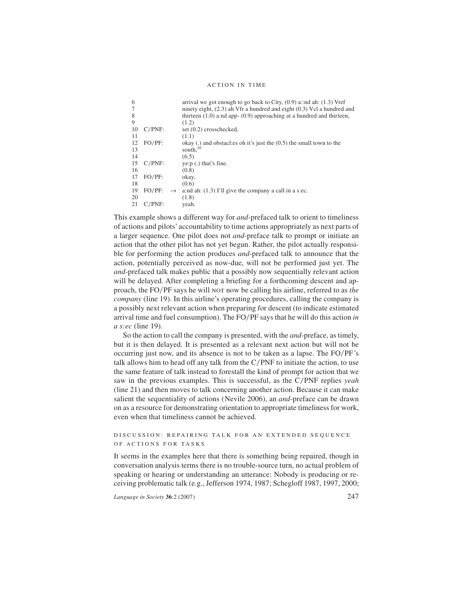| 6<br>$7\phantom{.0}$ |           |               | arrival we got enough to go back to City, $(0.9)$ a::nd ah: $(1.3)$ Vref<br>ninety eight, $(2.3)$ ah Vfr a hundred and eight $(0.3)$ Vcl a hundred and |
|----------------------|-----------|---------------|--------------------------------------------------------------------------------------------------------------------------------------------------------|
| 8                    |           |               | thirteen $(1.0)$ and app- $(0.9)$ approaching at a hundred and thirteen,                                                                               |
| 9                    |           |               | (1.2)                                                                                                                                                  |
| 10                   | $C/PNF$ : |               | set (0.2) crosschecked,                                                                                                                                |
| 11                   |           |               | (1.1)                                                                                                                                                  |
| 12                   | FO/PF:    |               | okay (.) and obstaclies oh it's just the $(0.5)$ the small town to the                                                                                 |
| 13                   |           |               | south, $10$                                                                                                                                            |
| 14                   |           |               | (6.5)                                                                                                                                                  |
| 15                   | $C/PNF$ : |               | $ye: p(.)$ that's fine.                                                                                                                                |
| 16                   |           |               | (0.8)                                                                                                                                                  |
| 17                   | $FO/PF$ : |               | okay,                                                                                                                                                  |
| 18                   |           |               | (0.6)                                                                                                                                                  |
| 19                   | FO/PF:    | $\rightarrow$ | a:nd ah: $(1.3)$ I'll give the company a call in a s:ec.                                                                                               |
| 20                   |           |               | (1.8)                                                                                                                                                  |
| 21                   | $C/PNF$ : |               | yeah.                                                                                                                                                  |
|                      |           |               |                                                                                                                                                        |

This example shows a different way for *and*-prefaced talk to orient to timeliness of actions and pilots' accountability to time actions appropriately as next parts of a larger sequence. One pilot does not *and*-preface talk to prompt or initiate an action that the other pilot has not yet begun. Rather, the pilot actually responsible for performing the action produces *and*-prefaced talk to announce that the action, potentially perceived as now-due, will not be performed just yet. The *and*-prefaced talk makes public that a possibly now sequentially relevant action will be delayed. After completing a briefing for a forthcoming descent and approach, the FO/PF says he will not now be calling his airline, referred to as *the company* (line 19). In this airline's operating procedures, calling the company is a possibly next relevant action when preparing for descent (to indicate estimated arrival time and fuel consumption). The FO/PF says that he will do this action *in a s:ec* (line 19).

So the action to call the company is presented, with the *and*-preface, as timely, but it is then delayed. It is presented as a relevant next action but will not be occurring just now, and its absence is not to be taken as a lapse. The FO/PF's talk allows him to head off any talk from the  $C/PNF$  to initiate the action, to use the same feature of talk instead to forestall the kind of prompt for action that we saw in the previous examples. This is successful, as the C/PNF replies *yeah* (line 21) and then moves to talk concerning another action. Because it can make salient the sequentiality of actions (Nevile 2006), an *and*-preface can be drawn on as a resource for demonstrating orientation to appropriate timeliness for work, even when that timeliness cannot be achieved.

# D ISCUSS ION: REPA IR ING TALK FOR AN EXTENDED SEQUENCE OF ACTIONS FOR TASKS

It seems in the examples here that there is something being repaired, though in conversation analysis terms there is no trouble-source turn, no actual problem of speaking or hearing or understanding an utterance: Nobody is producing or receiving problematic talk (e.g., Jefferson 1974, 1987; Schegloff 1987, 1997, 2000;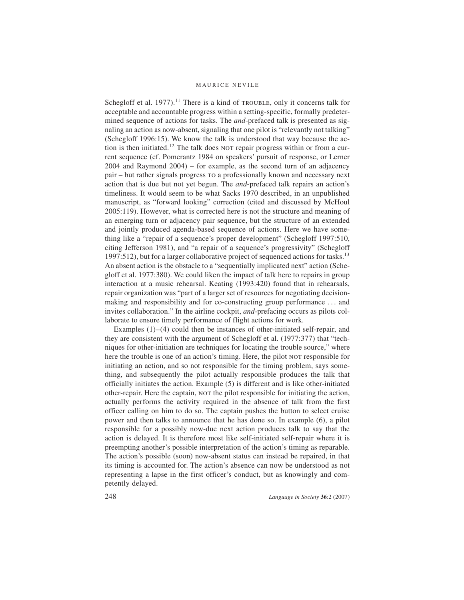Schegloff et al.  $1977$ ).<sup>11</sup> There is a kind of  $TROUBLE$ , only it concerns talk for acceptable and accountable progress within a setting-specific, formally predetermined sequence of actions for tasks. The *and*-prefaced talk is presented as signaling an action as now-absent, signaling that one pilot is "relevantly not talking" (Schegloff 1996:15). We know the talk is understood that way because the action is then initiated.<sup>12</sup> The talk does not repair progress within or from a current sequence (cf. Pomerantz 1984 on speakers' pursuit of response, or Lerner 2004 and Raymond 2004) – for example, as the second turn of an adjacency pair – but rather signals progress to a professionally known and necessary next action that is due but not yet begun. The *and*-prefaced talk repairs an action's timeliness. It would seem to be what Sacks 1970 described, in an unpublished manuscript, as "forward looking" correction (cited and discussed by McHoul 2005:119). However, what is corrected here is not the structure and meaning of an emerging turn or adjacency pair sequence, but the structure of an extended and jointly produced agenda-based sequence of actions. Here we have something like a "repair of a sequence's proper development" (Schegloff 1997:510, citing Jefferson 1981), and "a repair of a sequence's progressivity" (Schegloff 1997:512), but for a larger collaborative project of sequenced actions for tasks.<sup>13</sup> An absent action is the obstacle to a "sequentially implicated next" action (Schegloff et al. 1977:380). We could liken the impact of talk here to repairs in group interaction at a music rehearsal. Keating (1993:420) found that in rehearsals, repair organization was "part of a larger set of resources for negotiating decisionmaking and responsibility and for co-constructing group performance . . . and invites collaboration." In the airline cockpit, *and*-prefacing occurs as pilots collaborate to ensure timely performance of flight actions for work.

Examples (1)–(4) could then be instances of other-initiated self-repair, and they are consistent with the argument of Schegloff et al. (1977:377) that "techniques for other-initiation are techniques for locating the trouble source," where here the trouble is one of an action's timing. Here, the pilot NOT responsible for initiating an action, and so not responsible for the timing problem, says something, and subsequently the pilot actually responsible produces the talk that officially initiates the action. Example (5) is different and is like other-initiated other-repair. Here the captain, NOT the pilot responsible for initiating the action, actually performs the activity required in the absence of talk from the first officer calling on him to do so. The captain pushes the button to select cruise power and then talks to announce that he has done so. In example (6), a pilot responsible for a possibly now-due next action produces talk to say that the action is delayed. It is therefore most like self-initiated self-repair where it is preempting another's possible interpretation of the action's timing as reparable. The action's possible (soon) now-absent status can instead be repaired, in that its timing is accounted for. The action's absence can now be understood as not representing a lapse in the first officer's conduct, but as knowingly and competently delayed.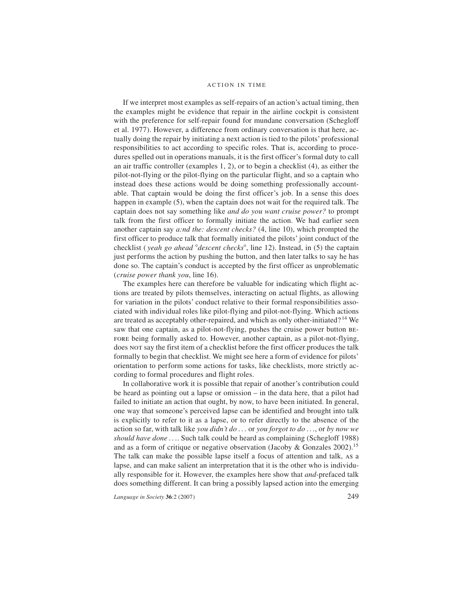If we interpret most examples as self-repairs of an action's actual timing, then the examples might be evidence that repair in the airline cockpit is consistent with the preference for self-repair found for mundane conversation (Schegloff et al. 1977). However, a difference from ordinary conversation is that here, actually doing the repair by initiating a next action is tied to the pilots' professional responsibilities to act according to specific roles. That is, according to procedures spelled out in operations manuals, it is the first officer's formal duty to call an air traffic controller (examples 1, 2), or to begin a checklist (4), as either the pilot-not-flying or the pilot-flying on the particular flight, and so a captain who instead does these actions would be doing something professionally accountable. That captain would be doing the first officer's job. In a sense this does happen in example (5), when the captain does not wait for the required talk. The captain does not say something like *and do you want cruise power?* to prompt talk from the first officer to formally initiate the action. We had earlier seen another captain say *a:nd the: descent checks?* (4, line 10), which prompted the first officer to produce talk that formally initiated the pilots' joint conduct of the checklist (*yeah go ahead* °*descent checks*°, line 12). Instead, in (5) the captain just performs the action by pushing the button, and then later talks to say he has done so. The captain's conduct is accepted by the first officer as unproblematic (*cruise power thank you*, line 16).

The examples here can therefore be valuable for indicating which flight actions are treated by pilots themselves, interacting on actual flights, as allowing for variation in the pilots' conduct relative to their formal responsibilities associated with individual roles like pilot-flying and pilot-not-flying. Which actions are treated as acceptably other-repaired, and which as only other-initiated?<sup>14</sup> We saw that one captain, as a pilot-not-flying, pushes the cruise power button BEfore being formally asked to. However, another captain, as a pilot-not-flying, does not say the first item of a checklist before the first officer produces the talk formally to begin that checklist. We might see here a form of evidence for pilots' orientation to perform some actions for tasks, like checklists, more strictly according to formal procedures and flight roles.

In collaborative work it is possible that repair of another's contribution could be heard as pointing out a lapse or omission – in the data here, that a pilot had failed to initiate an action that ought, by now, to have been initiated. In general, one way that someone's perceived lapse can be identified and brought into talk is explicitly to refer to it as a lapse, or to refer directly to the absence of the action so far, with talk like *you didn't do . . .* or *you forgot to do . . .*, or *by now we should have done . . .*. Such talk could be heard as complaining (Schegloff 1988) and as a form of critique or negative observation (Jacoby & Gonzales 2002).<sup>15</sup> The talk can make the possible lapse itself a focus of attention and talk, as a lapse, and can make salient an interpretation that it is the other who is individually responsible for it. However, the examples here show that *and*-prefaced talk does something different. It can bring a possibly lapsed action into the emerging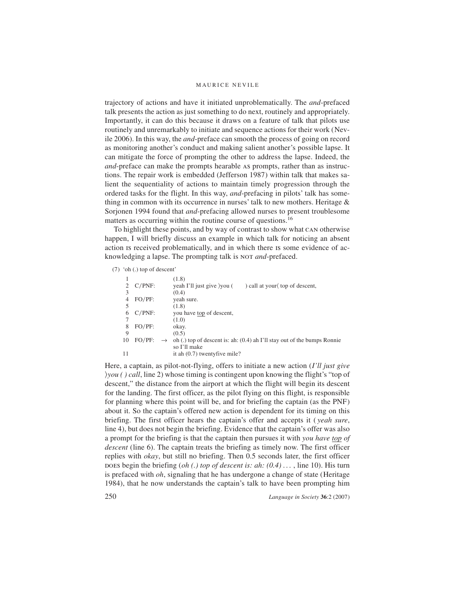trajectory of actions and have it initiated unproblematically. The *and*-prefaced talk presents the action as just something to do next, routinely and appropriately. Importantly, it can do this because it draws on a feature of talk that pilots use routinely and unremarkably to initiate and sequence actions for their work (Nevile 2006). In this way, the *and*-preface can smooth the process of going on record as monitoring another's conduct and making salient another's possible lapse. It can mitigate the force of prompting the other to address the lapse. Indeed, the *and*-preface can make the prompts hearable as prompts, rather than as instructions. The repair work is embedded (Jefferson 1987) within talk that makes salient the sequentiality of actions to maintain timely progression through the ordered tasks for the flight. In this way, *and*-prefacing in pilots' talk has something in common with its occurrence in nurses' talk to new mothers. Heritage  $\&$ Sorjonen 1994 found that *and*-prefacing allowed nurses to present troublesome matters as occurring within the routine course of questions.<sup>16</sup>

To highlight these points, and by way of contrast to show what can otherwise happen, I will briefly discuss an example in which talk for noticing an absent action is received problematically, and in which there is some evidence of acknowledging a lapse. The prompting talk is NOT *and*-prefaced.

# (7) 'oh (.) top of descent'

|    |           |               | (1.8)                                                                    |
|----|-----------|---------------|--------------------------------------------------------------------------|
|    | $C/PNF$ : |               | yeah I'll just give $\gamma$ you (<br>) call at your (top of descent,    |
|    |           |               | (0.4)                                                                    |
|    | $FO/PF$ : |               | yeah sure.                                                               |
|    |           |               | (1.8)                                                                    |
| 6  | $C/PNF$ : |               | you have top of descent,                                                 |
|    |           |               | (1.0)                                                                    |
| 8  | $FO/PF$ : |               | okay.                                                                    |
| 9  |           |               | (0.5)                                                                    |
| 10 | FO/PF:    | $\rightarrow$ | oh (.) top of descent is: ah: (0.4) ah I'll stay out of the bumps Ronnie |
|    |           |               | so I'll make                                                             |
| 11 |           |               | it ah $(0.7)$ twentyfive mile?                                           |
|    |           |               |                                                                          |

Here, a captain, as pilot-not-flying, offers to initiate a new action (*I'll just give* &*you ( ) call*, line 2) whose timing is contingent upon knowing the flight's "top of descent," the distance from the airport at which the flight will begin its descent for the landing. The first officer, as the pilot flying on this flight, is responsible for planning where this point will be, and for briefing the captain (as the PNF) about it. So the captain's offered new action is dependent for its timing on this briefing. The first officer hears the captain's offer and accepts it ( *yeah sure*, line 4), but does not begin the briefing. Evidence that the captain's offer was also a prompt for the briefing is that the captain then pursues it with *you have top of descent* (line 6). The captain treats the briefing as timely now. The first officer replies with *okay*, but still no briefing. Then 0.5 seconds later, the first officer does begin the briefing (*oh* (*.) top of descent is: ah:* (0.4) ..., line 10). His turn is prefaced with *oh*, signaling that he has undergone a change of state (Heritage 1984), that he now understands the captain's talk to have been prompting him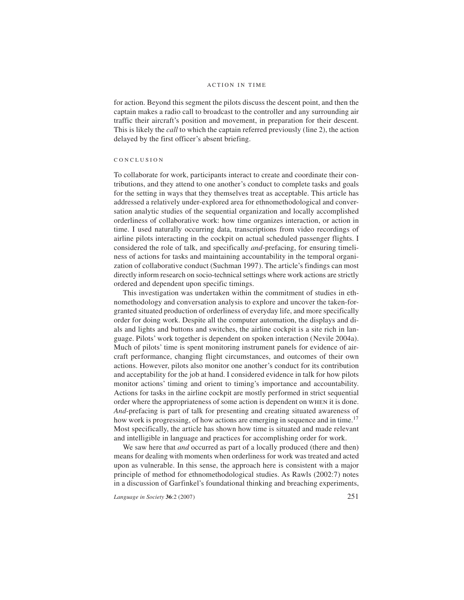for action. Beyond this segment the pilots discuss the descent point, and then the captain makes a radio call to broadcast to the controller and any surrounding air traffic their aircraft's position and movement, in preparation for their descent. This is likely the *call* to which the captain referred previously (line 2), the action delayed by the first officer's absent briefing.

#### CONCLUSION

To collaborate for work, participants interact to create and coordinate their contributions, and they attend to one another's conduct to complete tasks and goals for the setting in ways that they themselves treat as acceptable. This article has addressed a relatively under-explored area for ethnomethodological and conversation analytic studies of the sequential organization and locally accomplished orderliness of collaborative work: how time organizes interaction, or action in time. I used naturally occurring data, transcriptions from video recordings of airline pilots interacting in the cockpit on actual scheduled passenger flights. I considered the role of talk, and specifically *and*-prefacing, for ensuring timeliness of actions for tasks and maintaining accountability in the temporal organization of collaborative conduct (Suchman 1997). The article's findings can most directly inform research on socio-technical settings where work actions are strictly ordered and dependent upon specific timings.

This investigation was undertaken within the commitment of studies in ethnomethodology and conversation analysis to explore and uncover the taken-forgranted situated production of orderliness of everyday life, and more specifically order for doing work. Despite all the computer automation, the displays and dials and lights and buttons and switches, the airline cockpit is a site rich in language. Pilots' work together is dependent on spoken interaction (Nevile 2004a). Much of pilots' time is spent monitoring instrument panels for evidence of aircraft performance, changing flight circumstances, and outcomes of their own actions. However, pilots also monitor one another's conduct for its contribution and acceptability for the job at hand. I considered evidence in talk for how pilots monitor actions' timing and orient to timing's importance and accountability. Actions for tasks in the airline cockpit are mostly performed in strict sequential order where the appropriateness of some action is dependent on when it is done. *And*-prefacing is part of talk for presenting and creating situated awareness of how work is progressing, of how actions are emerging in sequence and in time.<sup>17</sup> Most specifically, the article has shown how time is situated and made relevant and intelligible in language and practices for accomplishing order for work.

We saw here that *and* occurred as part of a locally produced (there and then) means for dealing with moments when orderliness for work was treated and acted upon as vulnerable. In this sense, the approach here is consistent with a major principle of method for ethnomethodological studies. As Rawls (2002:7) notes in a discussion of Garfinkel's foundational thinking and breaching experiments,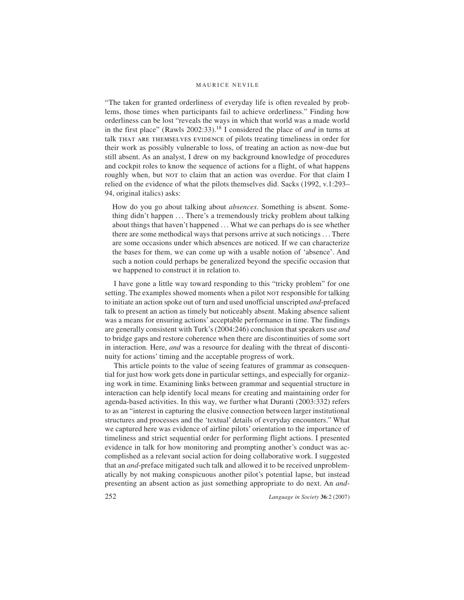### MAURICE NEVILE

"The taken for granted orderliness of everyday life is often revealed by problems, those times when participants fail to achieve orderliness." Finding how orderliness can be lost "reveals the ways in which that world was a made world in the first place" (Rawls 2002:33).18 I considered the place of *and* in turns at talk THAT ARE THEMSELVES EVIDENCE of pilots treating timeliness in order for their work as possibly vulnerable to loss, of treating an action as now-due but still absent. As an analyst, I drew on my background knowledge of procedures and cockpit roles to know the sequence of actions for a flight, of what happens roughly when, but NOT to claim that an action was overdue. For that claim I relied on the evidence of what the pilots themselves did. Sacks (1992, v.1:293– 94, original italics) asks:

How do you go about talking about *absences*. Something is absent. Something didn't happen ... There's a tremendously tricky problem about talking about things that haven't happened . . . What we can perhaps do is see whether there are some methodical ways that persons arrive at such noticings . . . There are some occasions under which absences are noticed. If we can characterize the bases for them, we can come up with a usable notion of 'absence'. And such a notion could perhaps be generalized beyond the specific occasion that we happened to construct it in relation to.

I have gone a little way toward responding to this "tricky problem" for one setting. The examples showed moments when a pilot NOT responsible for talking to initiate an action spoke out of turn and used unofficial unscripted *and*-prefaced talk to present an action as timely but noticeably absent. Making absence salient was a means for ensuring actions' acceptable performance in time. The findings are generally consistent with Turk's (2004:246) conclusion that speakers use *and* to bridge gaps and restore coherence when there are discontinuities of some sort in interaction. Here, *and* was a resource for dealing with the threat of discontinuity for actions' timing and the acceptable progress of work.

This article points to the value of seeing features of grammar as consequential for just how work gets done in particular settings, and especially for organizing work in time. Examining links between grammar and sequential structure in interaction can help identify local means for creating and maintaining order for agenda-based activities. In this way, we further what Duranti (2003:332) refers to as an "interest in capturing the elusive connection between larger institutional structures and processes and the 'textual' details of everyday encounters." What we captured here was evidence of airline pilots' orientation to the importance of timeliness and strict sequential order for performing flight actions. I presented evidence in talk for how monitoring and prompting another's conduct was accomplished as a relevant social action for doing collaborative work. I suggested that an *and*-preface mitigated such talk and allowed it to be received unproblematically by not making conspicuous another pilot's potential lapse, but instead presenting an absent action as just something appropriate to do next. An *and*-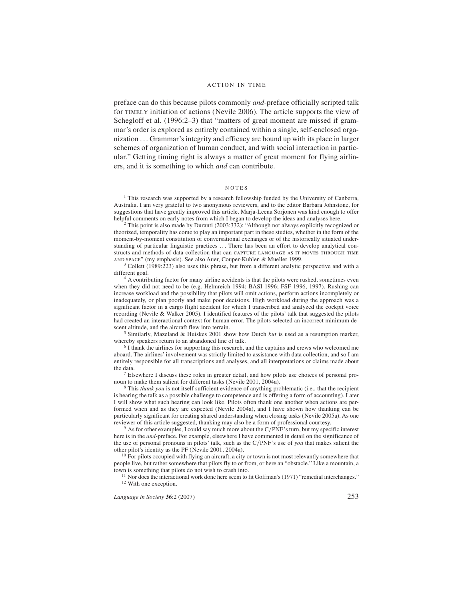preface can do this because pilots commonly *and*-preface officially scripted talk for timely initiation of actions (Nevile 2006). The article supports the view of Schegloff et al. (1996:2–3) that "matters of great moment are missed if grammar's order is explored as entirely contained within a single, self-enclosed organization . . . Grammar's integrity and efficacy are bound up with its place in larger schemes of organization of human conduct, and with social interaction in particular." Getting timing right is always a matter of great moment for flying airliners, and it is something to which *and* can contribute.

#### NOTES

<sup>1</sup> This research was supported by a research fellowship funded by the University of Canberra, Australia. I am very grateful to two anonymous reviewers, and to the editor Barbara Johnstone, for suggestions that have greatly improved this article. Marja-Leena Sorjonen was kind enough to offer helpful comments on early notes from which I began to develop the ideas and analyses here.

<sup>2</sup> This point is also made by Duranti (2003:332): "Although not always explicitly recognized or theorized, temporality has come to play an important part in these studies, whether in the form of the moment-by-moment constitution of conversational exchanges or of the historically situated understanding of particular linguistic practices . . . There has been an effort to develop analytical constructs and methods of data collection that can CAPTURE LANGUAGE AS IT MOVES THROUGH TIME<br>AND SPACE" (my emphasis). See also Auer, Couper-Kuhlen & Mueller 1999.

 $3$  Collett (1989:223) also uses this phrase, but from a different analytic perspective and with a different goal.<br><sup>4</sup> A contributing factor for many airline accidents is that the pilots were rushed, sometimes even

when they did not need to be (e.g. Helmreich 1994; BASI 1996; FSF 1996, 1997). Rushing can increase workload and the possibility that pilots will omit actions, perform actions incompletely or inadequately, or plan poorly and make poor decisions. High workload during the approach was a significant factor in a cargo flight accident for which I transcribed and analyzed the cockpit voice recording (Nevile & Walker 2005). I identified features of the pilots' talk that suggested the pilots had created an interactional context for human error. The pilots selected an incorrect minimum de-

scent altitude, and the aircraft flew into terrain.<br><sup>5</sup> Similarly, Mazeland & Huiskes 2001 show how Dutch *but* is used as a resumption marker, whereby speakers return to an abandoned line of talk.

 $6$  I thank the airlines for supporting this research, and the captains and crews who welcomed me aboard. The airlines' involvement was strictly limited to assistance with data collection, and so I am entirely responsible for all transcriptions and analyses, and all interpretations or claims made about

the data.<br><sup>7</sup> Elsewhere I discuss these roles in greater detail, and how pilots use choices of personal pro-<br>noun to make them salient for different tasks (Nevile 2001, 2004a).

<sup>8</sup> This *thank you* is not itself sufficient evidence of anything problematic (i.e., that the recipient is hearing the talk as a possible challenge to competence and is offering a form of accounting). Later I will show what such hearing can look like. Pilots often thank one another when actions are performed when and as they are expected (Nevile 2004a), and I have shown how thanking can be particularly significant for creating shared understanding when closing tasks (Nevile 2005a). As one reviewer of this article suggested, thanking may also be a form of professional courtesy.

 $9$  As for other examples, I could say much more about the C/PNF's turn, but my specific interest here is in the *and*-preface. For example, elsewhere I have commented in detail on the significance of the use of personal pronouns in pilots' talk, such as the C/PNF's use of *you* that makes salient the other pilot's identity as the PF (Nevile 2001, 2004a).

 $10$  For pilots occupied with flying an aircraft, a city or town is not most relevantly somewhere that people live, but rather somewhere that pilots fly to or from, or here an "obstacle." Like a mountain, a

town is something that pilots do not wish to crash into.<br><sup>11</sup> Nor does the interactional work done here seem to fit Goffman's (1971) "remedial interchanges."<br><sup>12</sup> With one exception.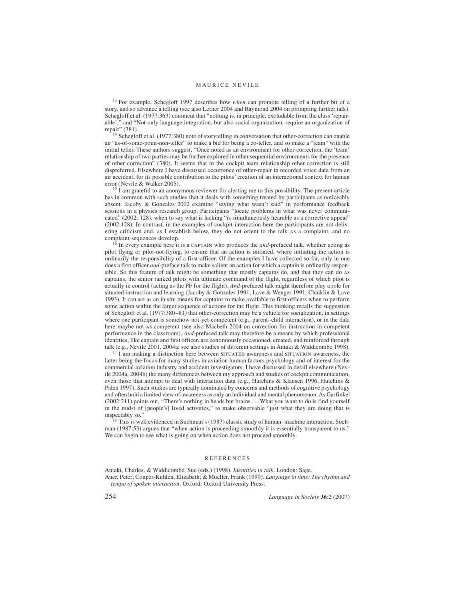#### MAURICE NEVILE

<sup>13</sup> For example, Schegloff 1997 describes how *when* can promote telling of a further bit of a story, and so advance a telling (see also Lerner 2004 and Raymond 2004 on prompting further talk). Schegloff et al. (1977:363) comment that "nothing is, in principle, excludable from the class 'repairable'," and "Not only language integration, but also social organization, require an organization of repair" (381).

 $14$  Schegloff et al. (1977:380) note of storytelling in conversation that other-correction can enable an "as-of-some-point-non-teller" to make a bid for being a co-teller, and so make a "team" with the initial teller. These authors suggest, "Once noted as an environment for other-correction, the 'team' relationship of two parties may be further explored in other sequential environments for the presence of other correction" (380). It seems that in the cockpit team relationship other-correction is still dispreferred. Elsewhere I have discussed occurrence of other-repair in recorded voice data from an air accident, for its possible contribution to the pilots' creation of an interactional context for human error (Nevile & Walker 2005).<br><sup>15</sup> I am grateful to an anonymous reviewer for alerting me to this possibility. The present article

has in common with such studies that it deals with something treated by participants as noticeably absent. Jacoby & Gonzales 2002 examine "saying what wasn't said" in performance feedback sessions in a physics research group. Participants "locate problems in what was never communicated" (2002: 128), when to say what is lacking "is simultaneously hearable as a corrective appeal" (2002:128). In contrast, in the examples of cockpit interaction here the participants are not delivering criticism and, as I establish below, they do not orient to the talk as a complaint, and no

 $16$  In every example here it is a captain who produces the *and*-prefaced talk, whether acting as pilot flying or pilot-not-flying, to ensure that an action is initiated, where initiating the action is ordinarily the responsibility of a first officer. Of the examples I have collected so far, only in one does a first officer *and*-preface talk to make salient an action for which a captain is ordinarily responsible. So this feature of talk might be something that mostly captains do, and that they can do as captains, the senior ranked pilots with ultimate command of the flight, regardless of which pilot is actually in control (acting as the PF for the flight). *And*-prefaced talk might therefore play a role for situated instruction and learning (Jacoby & Gonzales 1991, Lave & Wenger 1991, Chaiklin & Lave 1993). It can act as an in situ means for captains to make available to first officers when to perform some action within the larger sequence of actions for the flight. This thinking recalls the suggestion of Schegloff et al. (1977:380–81) that other-correction may be a vehicle for socialization, in settings where one participant is somehow not-yet-competent (e.g., parent–child interaction), or in the data here maybe not-as-competent (see also Macbeth 2004 on correction for instruction in competent performance in the classroom). *And*-prefaced talk may therefore be a means by which professional identities, like captain and first officer, are continuously occasioned, created, and reinforced through

talk (e.g., Nevile 2001, 2004a; see also studies of different settings in Antaki & Widdicombe 1998). <sup>17</sup> I am making a distinction here between situated awareness and situation awareness, the latter being the focus for many studies in aviation human factors psychology and of interest for the commercial aviation industry and accident investigators. I have discussed in detail elsewhere (Nevile 2004a, 2004b) the many differences between my approach and studies of cockpit communication, even those that attempt to deal with interaction data (e.g., Hutchins & Klausen 1996, Hutchins & Palen 1997). Such studies are typically dominated by concerns and methods of cognitive psychology and often hold a limited view of awareness as only an individual and mental phenomenon. As Garfinkel (2002:211) points out, "There's nothing in heads but brains . . . What you want to do is find yourself in the midst of [people's] lived activities," to make observable "just what they are doing that is inspectably so." <sup>18</sup> This is well evidenced in Suchman's (1987) classic study of human–machine interaction. Such-

man (1987:53) argues that "when action is proceeding smoothly it is essentially transparent to us." We can begin to see what is going on when action does not proceed smoothly.

#### REFERENCES

Antaki, Charles, & Widdicombe, Sue (eds.) (1998). *Identities in talk*. London: Sage. Auer, Peter; Couper-Kuhlen, Elizabeth; & Mueller, Frank (1999). *Language in time: The rhythm and tempo of spoken interaction*. Oxford: Oxford University Press.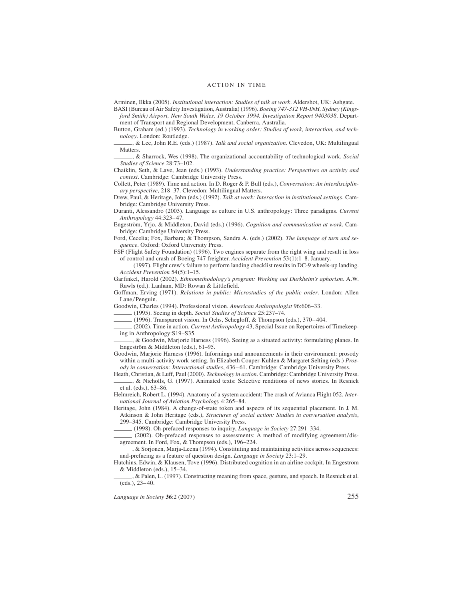Arminen, Ilkka (2005). *Institutional interaction: Studies of talk at work*. Aldershot, UK: Ashgate.

- BASI (Bureau of Air Safety Investigation, Australia) (1996). *Boeing 747-312 VH-INH, Sydney (Kingsford Smith) Airport, New South Wales, 19 October 1994. Investigation Report 9403038*. Department of Transport and Regional Development, Canberra, Australia.
- Button, Graham (ed.) (1993). *Technology in working order: Studies of work, interaction, and technology. London: Routledge.*<br> **non-** *nology. London: Routledge. and Regional Development, Canberra, Australia.*<br> *Rutton, Graham (ed.) (1993). Technology in working order: Studies of work, interaction, and technology. Lon*
- nology. London: Routledge.<br> **., & Lee, John R.E.** (eds.) (1987). Talk and social organization. Clevedon, UK: Multilingual Matters.<br>
Matters.<br> **., & Sharrock, Wes (1998). The organizational accountability of technological w**
- *Studies of Science* 28:73–102.
- Chaiklin, Seth, & Lave, Jean (eds.) (1993). *Understanding practice: Perspectives on activity and context*. Cambridge: Cambridge University Press.
- Collett, Peter (1989). Time and action. In D. Roger & P. Bull (eds.), *Conversation: An interdisciplinary perspective*, 218–37. Clevedon: Multilingual Matters.
- Drew, Paul, & Heritage, John (eds.) (1992). *Talk at work: Interaction in institutional settings*. Cambridge: Cambridge University Press.
- Duranti, Alessandro (2003). Language as culture in U.S. anthropology: Three paradigms. *Current Anthropology* 44:323– 47.
- Engeström, Yrjo, & Middleton, David (eds.) (1996). *Cognition and communication at work*. Cambridge: Cambridge University Press.
- Ford, Cecelia; Fox, Barbara; & Thompson, Sandra A. (eds.) (2002). *The language of turn and sequence*. Oxford: Oxford University Press.
- FSF (Flight Safety Foundation) (1996). Two engines separate from the right wing and result in loss of control and crash of Boeing 747 freighter. *Accident Prevention* 53(1):1–8. January.<br> *Guence.* Oxford: Oxford University Press.<br>
of control and crash of Boeing 747 freighter. *Accident Prevention* 53(1):1–8. January.<br>
- *Accident Prevention* 54(5):1–15.
- Garfinkel, Harold (2002). *Ethnomethodology's program: Working out Durkheim's aphorism*. A.W. Rawls (ed.). Lanham, MD: Rowan & Littlefield.
- Goffman, Erving (1971). *Relations in public: Microstudies of the public order*. London: Allen Lane/Penguin.
- Goodwin, Charles (1994). Professional vision. *American Anthropologist* 96:606–33.<br>
(1995). Seeing in depth. *Social Studies of Science* 25:237–74.<br>
(1996). Transparent vision. In Ochs, Schegloff, & Thompson (eds.), 370–40

- 
- \_(1996). Transparent vision. In Ochs, Schegloff, & Thompson (eds.), 370– 404. \_(2002). Time in action. *Current Anthropology* 43, Special Issue on Repertoires of Timekeeping in Anthropology:S19–S35.

\_, & Goodwin, Marjorie Harness (1996). Seeing as a situated activity: formulating planes. In Engeström & Middleton (eds.), 61–95.

- Goodwin, Marjorie Harness (1996). Informings and announcements in their environment: prosody within a multi-activity work setting. In Elizabeth Couper-Kuhlen & Margaret Selting (eds.) *Prosody in conversation: Interactional studies*, 436– 61. Cambridge: Cambridge University Press.
- Heath, Christian, & Luff, Paul (2000). *Technology in action*. Cambridge: Cambridge University Press.<br> **Cambridge:** Cambridge: Cambridge: Cambridge: Micholls, G. (1997). Animated texts: Selective renditions of news stories et al. (eds.), 63–86.
- Helmreich, Robert L. (1994). Anatomy of a system accident: The crash of Avianca Flight 052. *International Journal of Aviation Psychology* 4:265–84.
- Heritage, John (1984). A change-of-state token and aspects of its sequential placement. In J. M. Atkinson & John Heritage (eds.), *Structures of social action: Studies in conversation analysis*, 299–345. Cambridge: Cambridge: Cambridge: Cambridge University Press.<br>
299–345. Cambridge: Cambridge University Press.<br>
299–345. Cambridge: Cambridge University Press.<br>
299–345. Cambridge: Cambridge University Press.<br>
2002

299–345. Cambridge: Cambridge University Press.<br>
(1998). Oh-prefaced responses to inquiry, *Language in Society* 27:291–334.<br>
(2002). Oh-prefaced responses to assessments: A method of modifying agreement/dis-<br>
agreement. I

and-prefacing as a feature of question design. *Language in Society* 23:1–29.

Hutchins, Edwin, & Klausen, Tove (1996). Distributed cognition in an airline cockpit. In Engeström & Middleton (eds.), 15–34. and-prefacing as a feature of question design. Language in Society 23:1-29.<br>Hutchins, Edwin, & Klausen, Tove (1996). Distributed cognition in an airline cockpit. In Engeström & Middleton (eds.), 15–34.<br>
..., & Palen, L. (1

(eds.), 23– 40.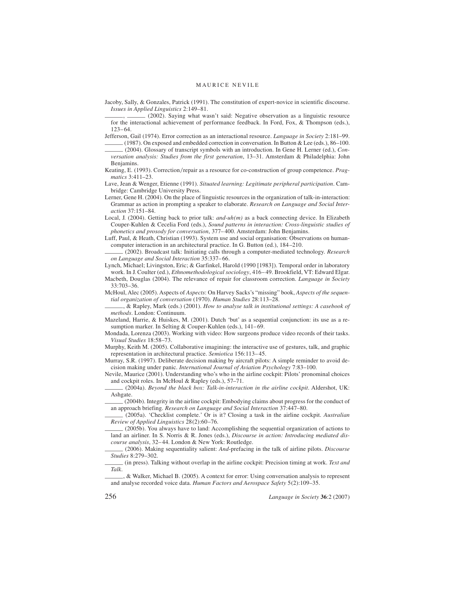Jacoby, Sally, & Gonzales, Patrick (1991). The constitution of expert-novice in scientific discourse. *Issues in Applied Linguistics* 2:149–81.

Jacoby, Sally, & Gonzales, Patrick (1991). The constitution of expert-novice in scientific discourse.<br> *Issues in Applied Linguistics* 2:149–81.<br>
(2002). Saying what wasn't said: Negative observation as a linguistic resou  $123 - 64$ 

*versation analysis: Studies from the first generation*, 13–31. Amsterdam & Philadelphia: John Benjamins.

- Keating, E. (1993). Correction/repair as a resource for co-construction of group competence. *Pragmatics* 3:411–23.
- Lave, Jean & Wenger, Etienne (1991). *Situated learning: Legitimate peripheral participation*. Cambridge: Cambridge University Press.
- Lerner, Gene H. (2004). On the place of linguistic resources in the organization of talk-in-interaction: Grammar as action in prompting a speaker to elaborate. *Research on Language and Social Interaction* 37:151–84.
- Local, J. (2004). Getting back to prior talk: *and-uh(m)* as a back connecting device. In Elizabeth Couper-Kuhlen & Cecelia Ford (eds.), *Sound patterns in interaction: Cross-linguistic studies of phonetics and prosody for conversation*, 377– 400. Amsterdam: John Benjamins.
- Luff, Paul, & Heath, Christian (1993). System use and social organisation: Observations on humancomputer interaction in an architectural practice. In G. Button (b. Benjamins. *Chonetical practice. In G. Button (ed.), 184–210.*<br>
Luff, Paul, & Heath, Christian (1993). System use and social organisation: Observations on

*on Language and Social Interaction* 35:337– 66.

Lynch, Michael; Livingston, Eric; & Garfinkel, Harold (1990 [1983]). Temporal order in laboratory work. In J. Coulter (ed.), *Ethnomethodological sociology*, 416– 49. Brookfield, VT: Edward Elgar.

- Macbeth, Douglas (2004). The relevance of repair for classroom correction. *Language in Society* 33:703–36.
- McHoul, Alec (2005). Aspects of *Aspects*: On Harvey Sacks's "missing" book, *Aspects of the sequential organization of conversation (1970). Human Studies 28:113–28.<br> AcHoul, Alec (2005). Aspects of <i>Aspects*: On Harvey Sacks's "missing" book, *Aspects of the sequential organization of conversation (1970). <i>Human S*

*methods*. London: Continuum.

Mazeland, Harrie, & Huiskes, M. (2001). Dutch 'but' as a sequential conjunction: its use as a resumption marker. In Selting & Couper-Kuhlen (eds.), 141-69.

Mondada, Lorenza (2003). Working with video: How surgeons produce video records of their tasks. *Visual Studies* 18:58–73.

Murphy, Keith M. (2005). Collaborative imagining: the interactive use of gestures, talk, and graphic representation in architectural practice. *Semiotica* 156:113– 45.

Murray, S.R. (1997). Deliberate decision making by aircraft pilots: A simple reminder to avoid decision making under panic. *International Journal of Aviation Psychology* 7:83–100.

Nevile, Maurice (2001). Understanding who's who in the airline cockpit: Pilots' pronominal choices and cockpit roles. In McHoul & Rapley (eds.), 57–71.<br>
cision making under participate participate and *Loural of Aviation Psychology* 7:83–100.<br>
Nevile, Maurice (2001). Understanding who's who in the airline cockpit: Pilot

Ashgate. and cockpit roles. In McHoul & Rapley (eds.), 57–71.<br>
(2004a). *Beyond the black box: Talk-in-interaction in the airline cockpit*. Aldershot, UK:<br>
Ashgate.<br>
(2004b). Integrity in the airline cockpit: Embodying claims about

an approach briefing. *Research on Language and Social Interaction* 37:447–80. \_(2005a). 'Checklist complete.' Or is it? Closing a task in the airline cockpit. *Australian*

an approach briefing. Research on Language and Social Interaction 37:447–80.<br>
(2005a). 'Checklist complete.' Or is it? Closing a task in the airline cockpit. Australian<br>
Review of Applied Linguistics 28(2):60–76.<br>
(2005b). *course analysis*, 32–44. London & New York: Routledge. <br>and an airliner. In S. Norris & R. Jones (eds.), *Discourse in action: Introducing mediated dis-*<br>*course analysis*, 32–44. London & New York: Routledge.<br>(2006). Mak

*Studies* 8:279–302. External and antitive analysis, 32–44. London & New York: Routledge.<br>
(2006). Making sequentiality salient: *And*-prefacing in the talk of airline pilots. *Discourse*<br> *Studies* 8:279–302.<br>
(in press). Talking without over

*Talk.* (2006). Making sequentially salicit. And-prefacing in the talk of all the plots. Discourse Studies 8:279–302.<br> *Talk.*<br> **Talk.** (in press). Talking without overlap in the airline cockpit: Precision timing at work.

and analyse recorded voice data. *Human Factors and Aerospace Safety* 5(2):109–35.